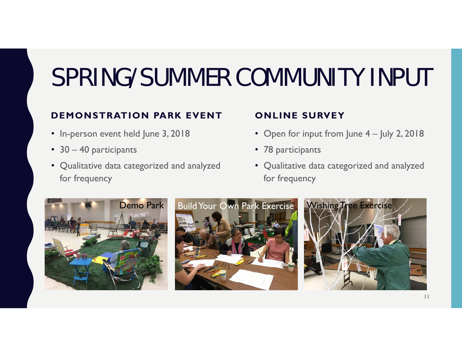# SPRING/SUMMER COMMUNITY INPUT

#### **DEMONSTRATION PARK EVENT**

- In-person event held June 3, 2018
- 30 40 participants
- Qualitative data categorized and analyzed for frequency

#### **ONLINE SURVEY**

- Open for input from June 4 July 2, 2018
- 78 participants
- Qualitative data categorized and analyzed for frequency





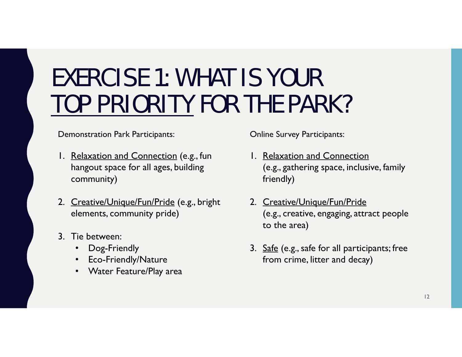#### EXERCISE 1: WHAT IS YOUR TOP PRIORITY FOR THE PARK?

Demonstration Park Participants:

- 1. Relaxation and Connection (e.g., fun hangout space for all ages, building community)
- 2. Creative/Unique/Fun/Pride (e.g., bright elements, community pride)
- 3. Tie between:
	- Dog-Friendly
	- •Eco-Friendly/Nature
	- Water Feature/Play area

Online Survey Participants:

- 1. Relaxation and Connection (e.g., gathering space, inclusive, family friendly)
- 2. Creative/Unique/Fun/Pride (e.g., creative, engaging, attract people to the area)
- 3. Safe (e.g., safe for all participants; free from crime, litter and decay)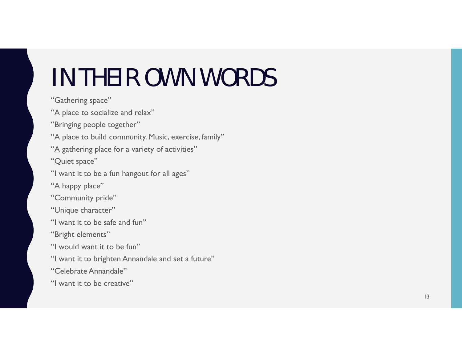# IN THEIR OWN WORDS

"Gathering space"

"A place to socialize and relax"

"Bringing people together"

"A place to build community. Music, exercise, family"

"A gathering place for a variety of activities"

"Quiet space"

"I want it to be a fun hangout for all ages"

"A happy place"

"Community pride"

"Unique character"

"I want it to be safe and fun"

"Bright elements"

"I would want it to be fun"

"I want it to brighten Annandale and set a future"

"Celebrate Annandale"

"I want it to be creative"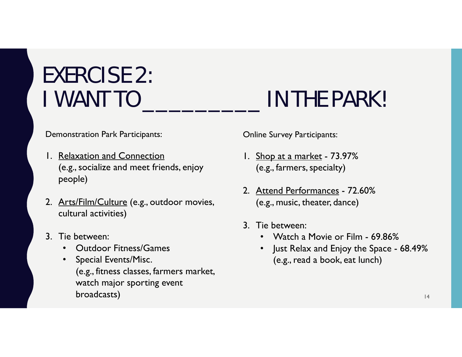# EXERCISE 2:

Demonstration Park Participants:

- 1. Relaxation and Connection (e.g., socialize and meet friends, enjoy people)
- 2. Arts/Film/Culture (e.g., outdoor movies, cultural activities)
- 3. Tie between:
	- Outdoor Fitness/Games
	- • Special Events/Misc. (e.g., fitness classes, farmers market, watch major sporting event broadcasts)

#### I WANT TO \_\_\_\_\_\_\_\_\_ IN THE PARK!

Online Survey Participants:

- 1. Shop at a market 73.97% (e.g., farmers, specialty)
- 2. Attend Performances 72.60% (e.g., music, theater, dance)
- 3. Tie between:
	- Watch a Movie or Film 69.86%
	- • Just Relax and Enjoy the Space - 68.49% (e.g., read a book, eat lunch)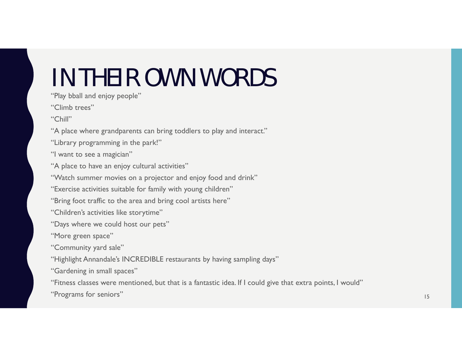# IN THEIR OWN WORDS

"Play bball and enjoy people"

"Climb trees"

"Chill"

"A place where grandparents can bring toddlers to play and interact."

"Library programming in the park!"

"I want to see a magician"

"A place to have an enjoy cultural activities"

"Watch summer movies on a projector and enjoy food and drink"

"Exercise activities suitable for family with young children"

"Bring foot traffic to the area and bring cool artists here"

"Children's activities like storytime"

"Days where we could host our pets"

"More green space"

"Community yard sale"

"Highlight Annandale's INCREDIBLE restaurants by having sampling days"

"Gardening in small spaces"

"Fitness classes were mentioned, but that is a fantastic idea. If I could give that extra points, I would"

"Programs for seniors" and the seniors of the senior senior senior senior senior senior senior seniors" and the senior senior senior senior senior senior senior senior senior senior senior senior senior senior senior senio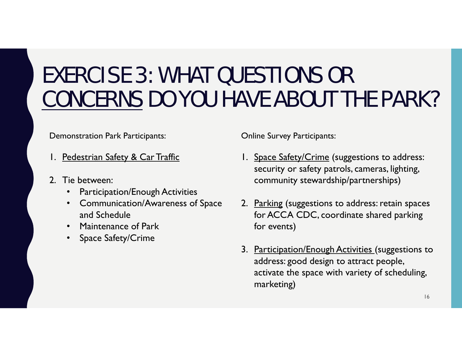#### EXERCISE 3: WHAT QUESTIONS OR CONCERNS DO YOU HAVE ABOUT THE PARK?

Demonstration Park Participants:

- 1. Pedestrian Safety & Car Traffic
- 2. Tie between:
	- •Participation/Enough Activities
	- Communication/Awareness of Space and Schedule
	- Maintenance of Park
	- •Space Safety/Crime

Online Survey Participants:

- 1. Space Safety/Crime (suggestions to address: security or safety patrols, cameras, lighting, community stewardship/partnerships)
- 2. Parking (suggestions to address: retain spaces) for ACCA CDC, coordinate shared parking for events)
- 3. Participation/Enough Activities (suggestions to address: good design to attract people, activate the space with variety of scheduling, marketing)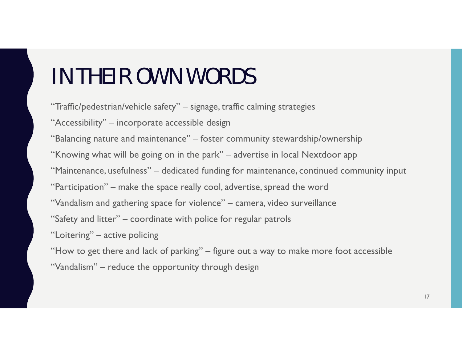#### IN THEIR OWN WORDS

"Traffic/pedestrian/vehicle safety" – signage, traffic calming strategies

"Accessibility" – incorporate accessible design

"Balancing nature and maintenance" – foster community stewardship/ownership

"Knowing what will be going on in the park" – advertise in local Nextdoor app

"Maintenance, usefulness" – dedicated funding for maintenance, continued community input

"Participation" – make the space really cool, advertise, spread the word

- "Vandalism and gathering space for violence" camera, video surveillance
- "Safety and litter" coordinate with police for regular patrols

"Loitering" – active policing

"How to get there and lack of parking" – figure out a way to make more foot accessible

"Vandalism" – reduce the opportunity through design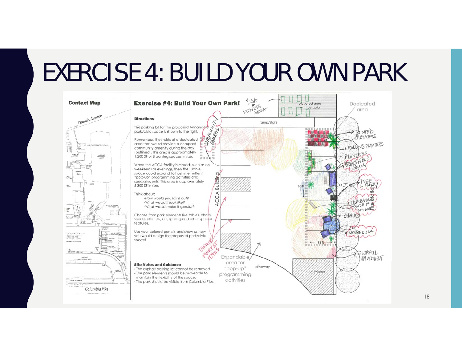### EXERCISE 4: BUILD YOUR OWN PARK

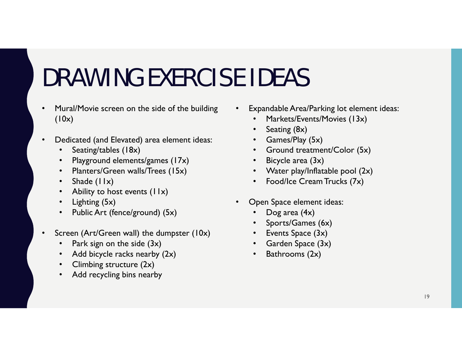# DRAWING EXERCISE IDEAS

- • Mural/Movie screen on the side of the building  $(10x)$
- • Dedicated (and Elevated) area element ideas:
	- •Seating/tables (18x)
	- •Playground elements/games (17x)
	- •Planters/Green walls/Trees (15x)
	- •Shade (11x)
	- •Ability to host events  $(11x)$
	- •Lighting (5x)
	- •Public Art (fence/ground) (5x)
- • Screen (Art/Green wall) the dumpster (10x)
	- •Park sign on the side (3x)
	- •Add bicycle racks nearby (2x)
	- •Climbing structure (2x)
	- •Add recycling bins nearby
- • Expandable Area/Parking lot element ideas:
	- •Markets/Events/Movies (13x)
	- •Seating (8x)
	- Games/Play (5x)
	- Ground treatment/Color (5x)
	- Bicycle area (3x)
	- Water play/Inflatable pool (2x)
	- Food/Ice Cream Trucks (7x)
- • Open Space element ideas:
	- •Dog area (4x)
	- •Sports/Games (6x)
	- Events Space (3x)
	- Garden Space (3x)
	- •Bathrooms (2x)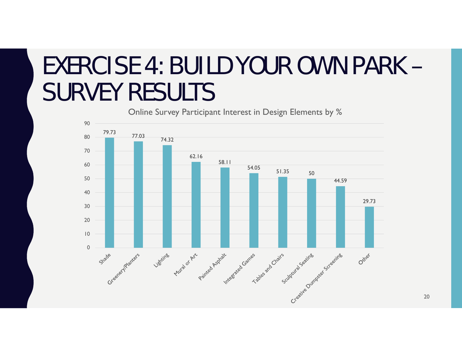#### EXERCISE 4: BUILD YOUR OWN PARK – SURVEY RESULTS

Online Survey Participant Interest in Design Elements by %



20